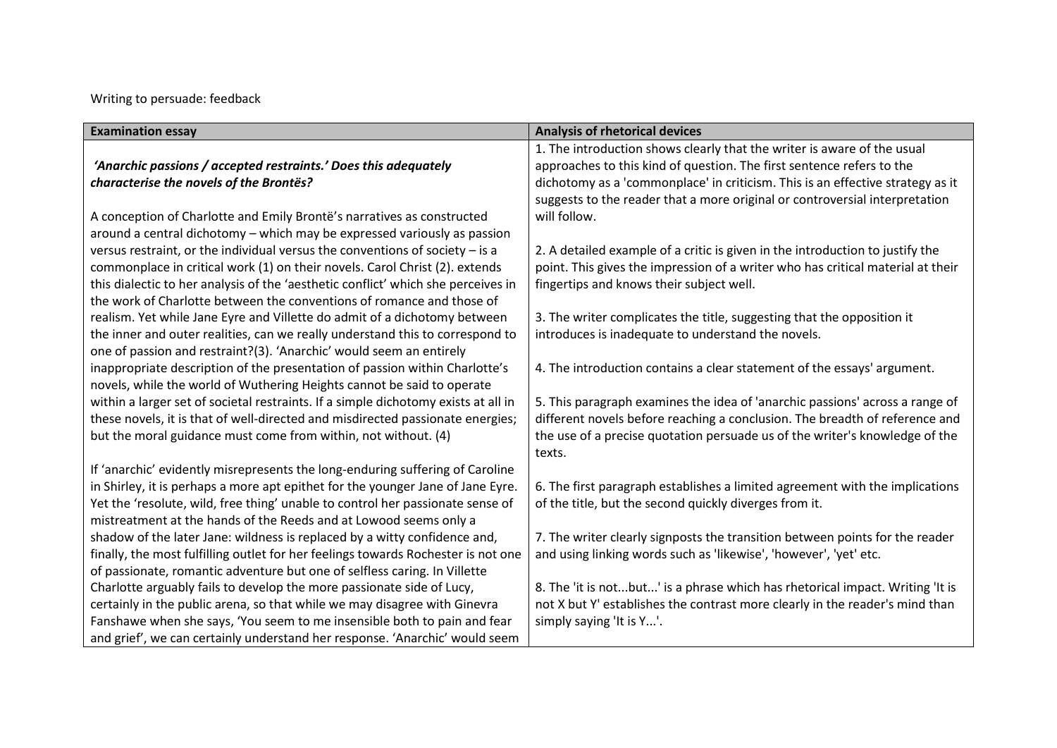Writing to persuade: feedback

| <b>Examination essay</b>                                                           | <b>Analysis of rhetorical devices</b>                                           |
|------------------------------------------------------------------------------------|---------------------------------------------------------------------------------|
|                                                                                    | 1. The introduction shows clearly that the writer is aware of the usual         |
| 'Anarchic passions / accepted restraints.' Does this adequately                    | approaches to this kind of question. The first sentence refers to the           |
| characterise the novels of the Brontës?                                            | dichotomy as a 'commonplace' in criticism. This is an effective strategy as it  |
|                                                                                    | suggests to the reader that a more original or controversial interpretation     |
| A conception of Charlotte and Emily Brontë's narratives as constructed             | will follow.                                                                    |
| around a central dichotomy - which may be expressed variously as passion           |                                                                                 |
| versus restraint, or the individual versus the conventions of society $-$ is a     | 2. A detailed example of a critic is given in the introduction to justify the   |
| commonplace in critical work (1) on their novels. Carol Christ (2). extends        | point. This gives the impression of a writer who has critical material at their |
| this dialectic to her analysis of the 'aesthetic conflict' which she perceives in  | fingertips and knows their subject well.                                        |
| the work of Charlotte between the conventions of romance and those of              |                                                                                 |
| realism. Yet while Jane Eyre and Villette do admit of a dichotomy between          | 3. The writer complicates the title, suggesting that the opposition it          |
| the inner and outer realities, can we really understand this to correspond to      | introduces is inadequate to understand the novels.                              |
| one of passion and restraint?(3). 'Anarchic' would seem an entirely                |                                                                                 |
| inappropriate description of the presentation of passion within Charlotte's        | 4. The introduction contains a clear statement of the essays' argument.         |
| novels, while the world of Wuthering Heights cannot be said to operate             |                                                                                 |
| within a larger set of societal restraints. If a simple dichotomy exists at all in | 5. This paragraph examines the idea of 'anarchic passions' across a range of    |
| these novels, it is that of well-directed and misdirected passionate energies;     | different novels before reaching a conclusion. The breadth of reference and     |
| but the moral guidance must come from within, not without. (4)                     | the use of a precise quotation persuade us of the writer's knowledge of the     |
|                                                                                    | texts.                                                                          |
| If 'anarchic' evidently misrepresents the long-enduring suffering of Caroline      |                                                                                 |
| in Shirley, it is perhaps a more apt epithet for the younger Jane of Jane Eyre.    | 6. The first paragraph establishes a limited agreement with the implications    |
| Yet the 'resolute, wild, free thing' unable to control her passionate sense of     | of the title, but the second quickly diverges from it.                          |
| mistreatment at the hands of the Reeds and at Lowood seems only a                  |                                                                                 |
| shadow of the later Jane: wildness is replaced by a witty confidence and,          | 7. The writer clearly signposts the transition between points for the reader    |
| finally, the most fulfilling outlet for her feelings towards Rochester is not one  | and using linking words such as 'likewise', 'however', 'yet' etc.               |
| of passionate, romantic adventure but one of selfless caring. In Villette          |                                                                                 |
| Charlotte arguably fails to develop the more passionate side of Lucy,              | 8. The 'it is notbut' is a phrase which has rhetorical impact. Writing 'It is   |
| certainly in the public arena, so that while we may disagree with Ginevra          | not X but Y' establishes the contrast more clearly in the reader's mind than    |
| Fanshawe when she says, 'You seem to me insensible both to pain and fear           | simply saying 'It is Y'.                                                        |
| and grief', we can certainly understand her response. 'Anarchic' would seem        |                                                                                 |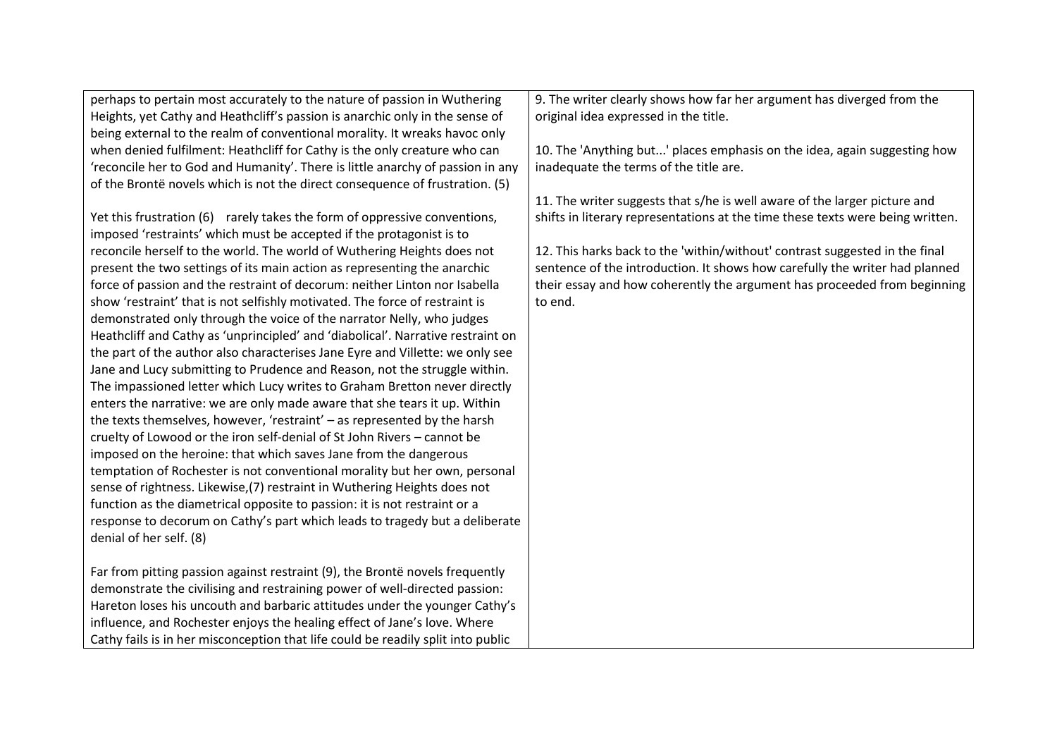| perhaps to pertain most accurately to the nature of passion in Wuthering         | 9. The writer clearly shows how far her argument has diverged from the         |
|----------------------------------------------------------------------------------|--------------------------------------------------------------------------------|
| Heights, yet Cathy and Heathcliff's passion is anarchic only in the sense of     | original idea expressed in the title.                                          |
| being external to the realm of conventional morality. It wreaks havoc only       |                                                                                |
| when denied fulfilment: Heathcliff for Cathy is the only creature who can        | 10. The 'Anything but' places emphasis on the idea, again suggesting how       |
| 'reconcile her to God and Humanity'. There is little anarchy of passion in any   | inadequate the terms of the title are.                                         |
| of the Brontë novels which is not the direct consequence of frustration. (5)     |                                                                                |
|                                                                                  | 11. The writer suggests that s/he is well aware of the larger picture and      |
| Yet this frustration (6) rarely takes the form of oppressive conventions,        | shifts in literary representations at the time these texts were being written. |
| imposed 'restraints' which must be accepted if the protagonist is to             |                                                                                |
| reconcile herself to the world. The world of Wuthering Heights does not          | 12. This harks back to the 'within/without' contrast suggested in the final    |
| present the two settings of its main action as representing the anarchic         | sentence of the introduction. It shows how carefully the writer had planned    |
| force of passion and the restraint of decorum: neither Linton nor Isabella       | their essay and how coherently the argument has proceeded from beginning       |
| show 'restraint' that is not selfishly motivated. The force of restraint is      | to end.                                                                        |
| demonstrated only through the voice of the narrator Nelly, who judges            |                                                                                |
| Heathcliff and Cathy as 'unprincipled' and 'diabolical'. Narrative restraint on  |                                                                                |
| the part of the author also characterises Jane Eyre and Villette: we only see    |                                                                                |
| Jane and Lucy submitting to Prudence and Reason, not the struggle within.        |                                                                                |
| The impassioned letter which Lucy writes to Graham Bretton never directly        |                                                                                |
| enters the narrative: we are only made aware that she tears it up. Within        |                                                                                |
| the texts themselves, however, 'restraint' - as represented by the harsh         |                                                                                |
| cruelty of Lowood or the iron self-denial of St John Rivers - cannot be          |                                                                                |
| imposed on the heroine: that which saves Jane from the dangerous                 |                                                                                |
| temptation of Rochester is not conventional morality but her own, personal       |                                                                                |
| sense of rightness. Likewise, (7) restraint in Wuthering Heights does not        |                                                                                |
| function as the diametrical opposite to passion: it is not restraint or a        |                                                                                |
| response to decorum on Cathy's part which leads to tragedy but a deliberate      |                                                                                |
| denial of her self. (8)                                                          |                                                                                |
|                                                                                  |                                                                                |
| Far from pitting passion against restraint (9), the Brontë novels frequently     |                                                                                |
| demonstrate the civilising and restraining power of well-directed passion:       |                                                                                |
| Hareton loses his uncouth and barbaric attitudes under the younger Cathy's       |                                                                                |
| influence, and Rochester enjoys the healing effect of Jane's love. Where         |                                                                                |
| Cathy fails is in her misconception that life could be readily split into public |                                                                                |